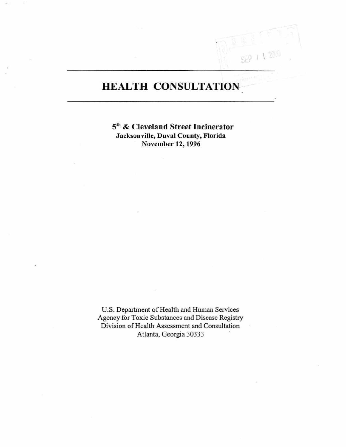# **HEALTH CONSULTATION**

 $\int_0^1$ 

51h & Cleveland Street Incinerator **Jacksonville, Duval County, Florida** November 12,1996

U.S. Department of Health and Human Services **Agency for Toxic Substances and Disease Registry Division** of Health **Assessment and Consultation**  Atlanta, Georgia 30333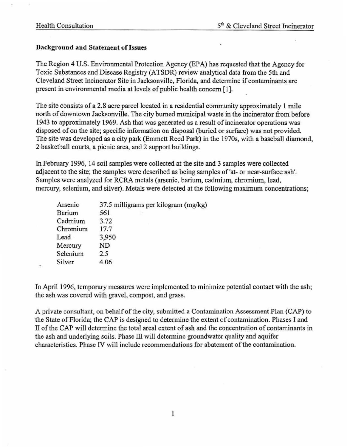#### Background and Statement or Issues

The Region 4 U.S. Environmental Protection Agency (EPA) has requested that the Agency for Toxic Substances and Disease Registry (ATSDR) review analytical data from the 5th and Cleveland Street Incinerator Site in Jacksonville, Florida, and determine if contaminants are present in environmental media at levels of public health concern [1].

The site consists of a 2.8 acre parcel located in a residential community approximately 1 mile north of downtown Jacksonville. The city burned municipal waste in the incinerator from before 1943 to approximately 1969. Ash that was generated as a result of incinerator operations was disposed of on the site; specific information on disposal (buried or surface) was not provided. The site was developed as a city park (Emmett Reed Park) in the 19705, with a baseball diamond, 2 basketball courts, a picnic area, and 2 support buildings.

In February 1996, 14 soil samples were collected at the site and 3 samples were collected adjacent to the site; the samples were described as being samples of 'at- or near-surface ash'. Samples were analyzed for RCRA metals (arsenic, barium, cadmium, chromium, lead, mercury, selenium, and silver). Metals were detected at the following maximum concentrations;

| Arsenic  | 37.5 milligrams per kilogram (mg/kg) |
|----------|--------------------------------------|
| Barium   | 561<br>$\alpha$                      |
| Cadmium  | 3.72                                 |
| Chromium | 17.7                                 |
| Lead     | 3,950                                |
| Mercury  | ND                                   |
| Selenium | 2.5                                  |
| Silver   | 4.06                                 |

In April 1996, temporary measures were implemented to minimize potential contact with the ash; the ash was covered with gravel, compost, and grass.

A private consultant, on behalf of the city, submitted a Contamination Assessment Plan (CAP) to the State of Florida; the CAP is designed to determine the extent of contamination. Phases I and II of the CAP will determine the total areal extent of ash and the concentration of contaminants in the ash and underlying soils. Phase III will determine groundwater quality and aquifer characteristics. Phase N will include recommendations for abatement of the contamination.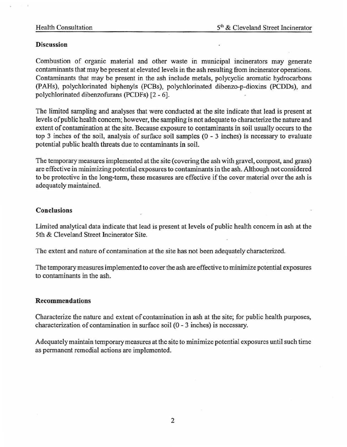#### **Discussion**

Combustion of organic material and other waste in municipal incinerators may generate contaminants that may be present at elevated levels in the ash resulting from incinerator operations. Contaminants that may be present in the ash include metals. polycyclic aromatic hydrocarbons (p AHs), polychlorinated biphenyls (PCBs), polychlorinated dibenzo-p-dioxins (PCDDs), and polychlorinated dibenzofurans (PCDFs) [2 - 6].

The limited sampling and analyses that were conducted at the site indicate that lead is present at levels of public health concern; however, the sampling is not adequate to characterize the nature and extent of contamination at the site. Because exposure to contaminants in soil usually occurs to the top 3 inches of the soil, analysis of surface soil samples (0 - 3 inches) is necessary to evaluate potential public health threats due to contaminants in soil.

The temporary measures implemented at the site (covering the ash with gravel. compost, and grass) are effective in minimizing potential exposures to contaminants in the ash. Although not considered to be protective in the long-term. these measures are effective if the cover material over the ash is adequately maintained.

## Conclusions

Limited analytical data indicate that lead is present at levels of public health concern in ash at the Sth & Cleveland Street Incinerator Site.

The extent and nature of contamination at the site has not been adequately characterized.

The temporary measures implemented to cover the ash are effective to minimize potential exposures to contaminants in the ash.

## Recommendations

Characterize the nature and extent of contamination in ash at the site; for public health purposes. characterization of contamination in surface soil (0 - 3 inches) is necessary.

Adequately maintain temporary measures at the site to minimize potential exposures until such time as pennanent remedial actions are implemented.